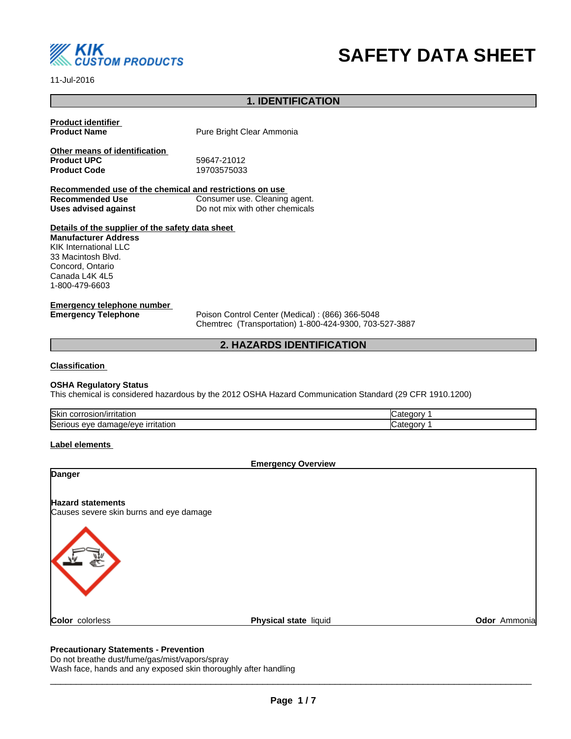

# **SAFETY DATA SHEET**

11-Jul-2016

## **1. IDENTIFICATION**

| <b>Product identifier</b><br><b>Product Name</b>                                  | Pure Bright Clear Ammonia       |
|-----------------------------------------------------------------------------------|---------------------------------|
| Other means of identification<br><b>Product UPC</b>                               | 59647-21012                     |
| <b>Product Code</b>                                                               | 19703575033                     |
| Recommended use of the chemical and restrictions on use                           |                                 |
| <b>Recommended Use</b>                                                            | Consumer use. Cleaning agent.   |
| Uses advised against                                                              | Do not mix with other chemicals |
| Details of the supplier of the safety data sheet                                  |                                 |
| <b>Manufacturer Address</b><br><b>KIK International LLC</b><br>33 Macintosh Blvd. |                                 |

Concord, Ontario Canada L4K 4L5 1-800-479-6603

## **Emergency telephone number**

**Emergency Telephone** Poison Control Center (Medical) : (866) 366-5048 Chemtrec (Transportation) 1-800-424-9300, 703-527-3887

## **2. HAZARDS IDENTIFICATION**

## **Classification**

## **OSHA Regulatory Status**

This chemical is considered hazardous by the 2012 OSHA Hazard Communication Standard (29 CFR 1910.1200)

| <b>Skin</b><br>ı/irritatior<br>$\cdots$ corrections<br>'osion/ir<br>JOH " |            |
|---------------------------------------------------------------------------|------------|
| <b>Serious</b><br>irritation<br>nade/eve<br>eve<br>dar<br>.               | ata<br>. . |

## **Label elements**

**Emergency Overview**

| Danger                                                              |                       |              |
|---------------------------------------------------------------------|-----------------------|--------------|
| <b>Hazard statements</b><br>Causes severe skin burns and eye damage |                       |              |
| 系                                                                   |                       |              |
| Color colorless                                                     | Physical state liquid | Odor Ammonia |

## **Precautionary Statements - Prevention**

Do not breathe dust/fume/gas/mist/vapors/spray Wash face, hands and any exposed skin thoroughly after handling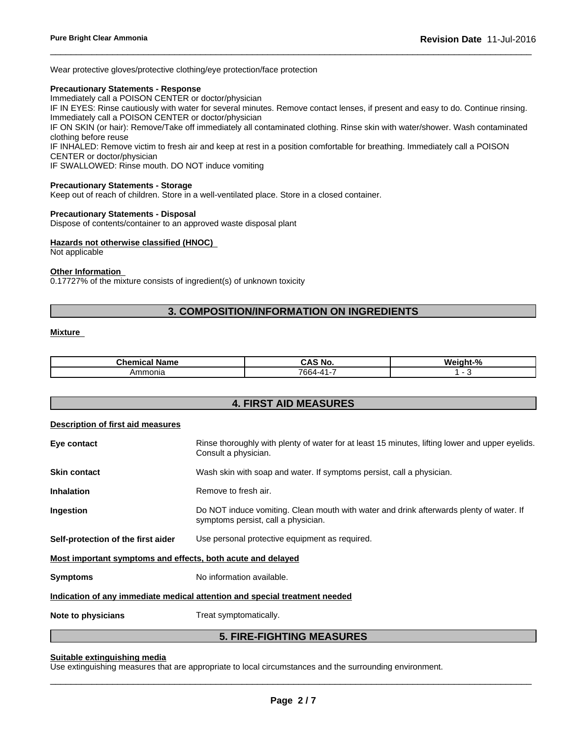Wear protective gloves/protective clothing/eye protection/face protection

## **Precautionary Statements - Response**

Immediately call a POISON CENTER or doctor/physician

IF IN EYES: Rinse cautiously with water for several minutes. Remove contact lenses, if present and easy to do. Continue rinsing. Immediately call a POISON CENTER or doctor/physician

 $\overline{\phantom{a}}$  ,  $\overline{\phantom{a}}$  ,  $\overline{\phantom{a}}$  ,  $\overline{\phantom{a}}$  ,  $\overline{\phantom{a}}$  ,  $\overline{\phantom{a}}$  ,  $\overline{\phantom{a}}$  ,  $\overline{\phantom{a}}$  ,  $\overline{\phantom{a}}$  ,  $\overline{\phantom{a}}$  ,  $\overline{\phantom{a}}$  ,  $\overline{\phantom{a}}$  ,  $\overline{\phantom{a}}$  ,  $\overline{\phantom{a}}$  ,  $\overline{\phantom{a}}$  ,  $\overline{\phantom{a}}$ 

IF ON SKIN (or hair): Remove/Take off immediately all contaminated clothing. Rinse skin with water/shower. Wash contaminated clothing before reuse

IF INHALED: Remove victim to fresh air and keep at rest in a position comfortable for breathing. Immediately call a POISON CENTER or doctor/physician

IF SWALLOWED: Rinse mouth. DO NOT induce vomiting

#### **Precautionary Statements - Storage**

Keep out of reach of children. Store in a well-ventilated place. Store in a closed container.

#### **Precautionary Statements - Disposal**

Dispose of contents/container to an approved waste disposal plant

## **Hazards not otherwise classified (HNOC)**

Not applicable

## **Other Information**

0.17727% of the mixture consists of ingredient(s) of unknown toxicity

## **3. COMPOSITION/INFORMATION ON INGREDIENTS**

## **Mixture**

| Chemical<br>∣ Name | CAS.<br>`5 NO.  | $\mathbf{a}$<br>'Moir |
|--------------------|-----------------|-----------------------|
| Ammonia            | $\sim$<br>7664- |                       |

| <b>4. FIRST AID MEASURES</b>                                |                                                                                                                                |  |  |
|-------------------------------------------------------------|--------------------------------------------------------------------------------------------------------------------------------|--|--|
| <b>Description of first aid measures</b>                    |                                                                                                                                |  |  |
| Eye contact                                                 | Rinse thoroughly with plenty of water for at least 15 minutes, lifting lower and upper eyelids.<br>Consult a physician.        |  |  |
| <b>Skin contact</b>                                         | Wash skin with soap and water. If symptoms persist, call a physician.                                                          |  |  |
| <b>Inhalation</b>                                           | Remove to fresh air.                                                                                                           |  |  |
| Ingestion                                                   | Do NOT induce vomiting. Clean mouth with water and drink afterwards plenty of water. If<br>symptoms persist, call a physician. |  |  |
| Self-protection of the first aider                          | Use personal protective equipment as required.                                                                                 |  |  |
| Most important symptoms and effects, both acute and delayed |                                                                                                                                |  |  |
| <b>Symptoms</b>                                             | No information available.                                                                                                      |  |  |
|                                                             | Indication of any immediate medical attention and special treatment needed                                                     |  |  |
| Note to physicians                                          | Treat symptomatically.                                                                                                         |  |  |
|                                                             | <b>5. FIRE-FIGHTING MEASURES</b>                                                                                               |  |  |

## **Suitable extinguishing media**

Use extinguishing measures that are appropriate to local circumstances and the surrounding environment.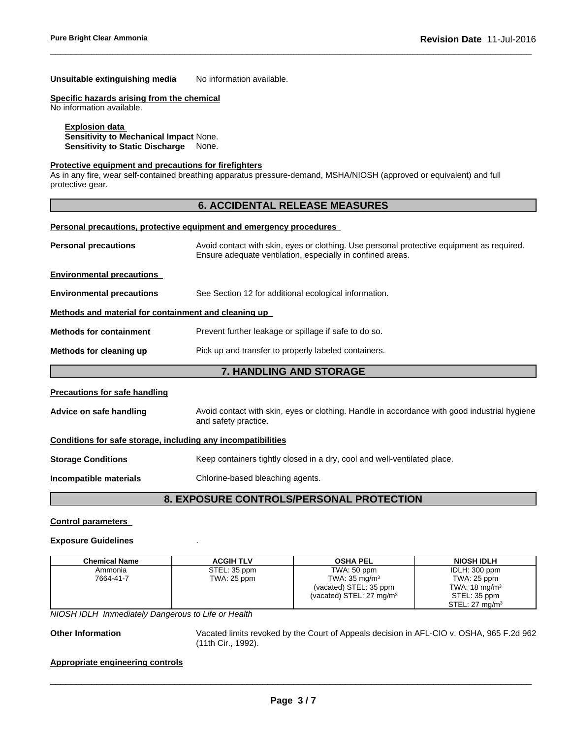## **Unsuitable extinguishing media** No information available.

## **Specific hazards arising from the chemical**

No information available.

## **Explosion data**

**Sensitivity to Mechanical Impact** None. **Sensitivity to Static Discharge** None.

## **Protective equipment and precautions for firefighters**

As in any fire, wear self-contained breathing apparatus pressure-demand, MSHA/NIOSH (approved or equivalent) and full protective gear.

## **6. ACCIDENTAL RELEASE MEASURES**

 $\overline{\phantom{a}}$  ,  $\overline{\phantom{a}}$  ,  $\overline{\phantom{a}}$  ,  $\overline{\phantom{a}}$  ,  $\overline{\phantom{a}}$  ,  $\overline{\phantom{a}}$  ,  $\overline{\phantom{a}}$  ,  $\overline{\phantom{a}}$  ,  $\overline{\phantom{a}}$  ,  $\overline{\phantom{a}}$  ,  $\overline{\phantom{a}}$  ,  $\overline{\phantom{a}}$  ,  $\overline{\phantom{a}}$  ,  $\overline{\phantom{a}}$  ,  $\overline{\phantom{a}}$  ,  $\overline{\phantom{a}}$ 

#### **Personal precautions, protective equipment and emergency procedures**

| <b>Personal precautions</b>                                  | Avoid contact with skin, eyes or clothing. Use personal protective equipment as required.<br>Ensure adequate ventilation, especially in confined areas. |  |  |
|--------------------------------------------------------------|---------------------------------------------------------------------------------------------------------------------------------------------------------|--|--|
| <b>Environmental precautions</b>                             |                                                                                                                                                         |  |  |
| <b>Environmental precautions</b>                             | See Section 12 for additional ecological information.                                                                                                   |  |  |
| Methods and material for containment and cleaning up         |                                                                                                                                                         |  |  |
| <b>Methods for containment</b>                               | Prevent further leakage or spillage if safe to do so.                                                                                                   |  |  |
| Methods for cleaning up                                      | Pick up and transfer to properly labeled containers.                                                                                                    |  |  |
|                                                              | <b>7. HANDLING AND STORAGE</b>                                                                                                                          |  |  |
| <b>Precautions for safe handling</b>                         |                                                                                                                                                         |  |  |
| Advice on safe handling                                      | Avoid contact with skin, eyes or clothing. Handle in accordance with good industrial hygiene<br>and safety practice.                                    |  |  |
| Conditions for safe storage, including any incompatibilities |                                                                                                                                                         |  |  |
| <b>Storage Conditions</b>                                    | Keep containers tightly closed in a dry, cool and well-ventilated place.                                                                                |  |  |
| Incompatible materials                                       | Chlorine-based bleaching agents.                                                                                                                        |  |  |
|                                                              | <u>a fynaelinf Calitnai Cinfrealli i nnatfatiall</u>                                                                                                    |  |  |

## **8. EXPOSURE CONTROLS/PERSONAL PROTECTION**

#### **Control parameters**

#### **Exposure Guidelines** .

| <b>Chemical Name</b> | <b>ACGIH TLV</b> | <b>OSHA PEL</b>                     | <b>NIOSH IDLH</b>         |
|----------------------|------------------|-------------------------------------|---------------------------|
| Ammonia              | STEL: 35 ppm     | TWA: 50 ppm                         | IDLH: 300 ppm             |
| 7664-41-7            | TWA: 25 ppm      | TWA: $35 \text{ mg/m}^3$            | TWA: 25 ppm               |
|                      |                  | (vacated) STEL: 35 ppm              | TWA: $18 \text{ mg/m}^3$  |
|                      |                  | (vacated) STEL: $27 \text{ mg/m}^3$ | STEL: 35 ppm              |
|                      |                  |                                     | STEL: $27 \text{ ma/m}^3$ |

*NIOSH IDLH Immediately Dangerous to Life or Health*

**Other Information** Vacated limits revoked by the Court of Appeals decision in AFL-CIO v.OSHA, 965 F.2d 962 (11th Cir., 1992).

 $\overline{\phantom{a}}$  ,  $\overline{\phantom{a}}$  ,  $\overline{\phantom{a}}$  ,  $\overline{\phantom{a}}$  ,  $\overline{\phantom{a}}$  ,  $\overline{\phantom{a}}$  ,  $\overline{\phantom{a}}$  ,  $\overline{\phantom{a}}$  ,  $\overline{\phantom{a}}$  ,  $\overline{\phantom{a}}$  ,  $\overline{\phantom{a}}$  ,  $\overline{\phantom{a}}$  ,  $\overline{\phantom{a}}$  ,  $\overline{\phantom{a}}$  ,  $\overline{\phantom{a}}$  ,  $\overline{\phantom{a}}$ 

## **Appropriate engineering controls**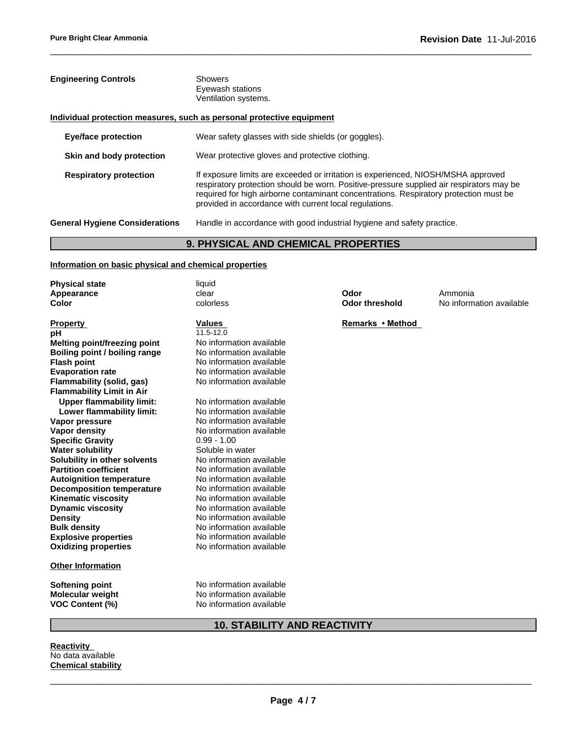| <b>Engineering Controls</b>                                           | <b>Showers</b><br>Eyewash stations<br>Ventilation systems.                                                                                                                                                                                                                                                                       |
|-----------------------------------------------------------------------|----------------------------------------------------------------------------------------------------------------------------------------------------------------------------------------------------------------------------------------------------------------------------------------------------------------------------------|
| Individual protection measures, such as personal protective equipment |                                                                                                                                                                                                                                                                                                                                  |
| <b>Eye/face protection</b>                                            | Wear safety glasses with side shields (or goggles).                                                                                                                                                                                                                                                                              |
| Skin and body protection                                              | Wear protective gloves and protective clothing.                                                                                                                                                                                                                                                                                  |
| <b>Respiratory protection</b>                                         | If exposure limits are exceeded or irritation is experienced, NIOSH/MSHA approved<br>respiratory protection should be worn. Positive-pressure supplied air respirators may be<br>required for high airborne contaminant concentrations. Respiratory protection must be<br>provided in accordance with current local regulations. |
| <b>General Hygiene Considerations</b>                                 | Handle in accordance with good industrial hygiene and safety practice.                                                                                                                                                                                                                                                           |

 $\overline{\phantom{a}}$  ,  $\overline{\phantom{a}}$  ,  $\overline{\phantom{a}}$  ,  $\overline{\phantom{a}}$  ,  $\overline{\phantom{a}}$  ,  $\overline{\phantom{a}}$  ,  $\overline{\phantom{a}}$  ,  $\overline{\phantom{a}}$  ,  $\overline{\phantom{a}}$  ,  $\overline{\phantom{a}}$  ,  $\overline{\phantom{a}}$  ,  $\overline{\phantom{a}}$  ,  $\overline{\phantom{a}}$  ,  $\overline{\phantom{a}}$  ,  $\overline{\phantom{a}}$  ,  $\overline{\phantom{a}}$ 

## **9. PHYSICAL AND CHEMICAL PROPERTIES**

## **Information on basic physical and chemical properties**

| <b>Physical state</b>               | liquid                   |                       |                          |
|-------------------------------------|--------------------------|-----------------------|--------------------------|
| Appearance                          | clear                    | Odor                  | Ammonia                  |
| <b>Color</b>                        | colorless                | <b>Odor threshold</b> | No information available |
| <b>Property</b>                     | Values                   | Remarks • Method      |                          |
| рH                                  | 11.5-12.0                |                       |                          |
| <b>Melting point/freezing point</b> | No information available |                       |                          |
| Boiling point / boiling range       | No information available |                       |                          |
| <b>Flash point</b>                  | No information available |                       |                          |
| <b>Evaporation rate</b>             | No information available |                       |                          |
| Flammability (solid, gas)           | No information available |                       |                          |
| <b>Flammability Limit in Air</b>    |                          |                       |                          |
| <b>Upper flammability limit:</b>    | No information available |                       |                          |
| Lower flammability limit:           | No information available |                       |                          |
| Vapor pressure                      | No information available |                       |                          |
| Vapor density                       | No information available |                       |                          |
| <b>Specific Gravity</b>             | $0.99 - 1.00$            |                       |                          |
| <b>Water solubility</b>             | Soluble in water         |                       |                          |
| Solubility in other solvents        | No information available |                       |                          |
| <b>Partition coefficient</b>        | No information available |                       |                          |
| <b>Autoignition temperature</b>     | No information available |                       |                          |
| <b>Decomposition temperature</b>    | No information available |                       |                          |
| <b>Kinematic viscosity</b>          | No information available |                       |                          |
| <b>Dynamic viscosity</b>            | No information available |                       |                          |
| <b>Density</b>                      | No information available |                       |                          |
| <b>Bulk density</b>                 | No information available |                       |                          |
| <b>Explosive properties</b>         | No information available |                       |                          |
| <b>Oxidizing properties</b>         | No information available |                       |                          |
| <b>Other Information</b>            |                          |                       |                          |
| Softening point                     | No information available |                       |                          |
| <b>Molecular weight</b>             | No information available |                       |                          |
| <b>VOC Content (%)</b>              | No information available |                       |                          |

## **10. STABILITY AND REACTIVITY**

**Reactivity** No data available **Chemical stability**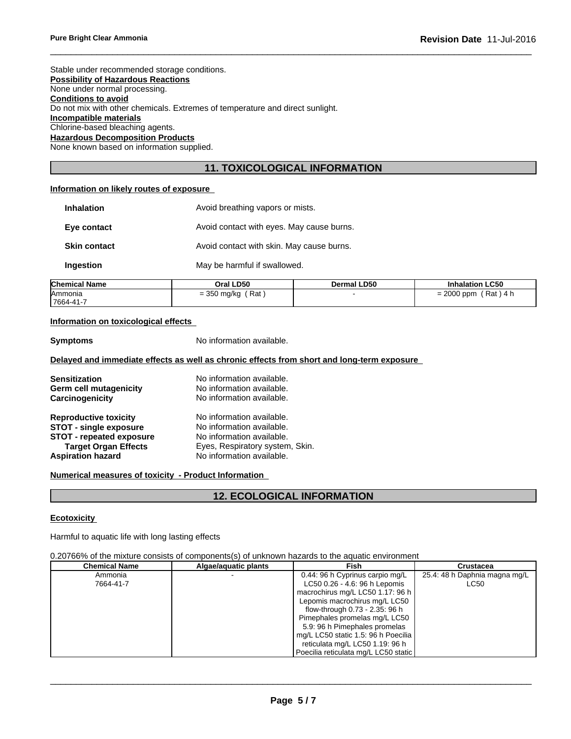Stable under recommended storage conditions. **Possibility of Hazardous Reactions** None under normal processing. **Conditions to avoid** Do not mix with other chemicals. Extremes of temperature and direct sunlight. **Incompatible materials** Chlorine-based bleaching agents. **Hazardous Decomposition Products** None known based on information supplied.

## **11. TOXICOLOGICAL INFORMATION**

 $\overline{\phantom{a}}$  ,  $\overline{\phantom{a}}$  ,  $\overline{\phantom{a}}$  ,  $\overline{\phantom{a}}$  ,  $\overline{\phantom{a}}$  ,  $\overline{\phantom{a}}$  ,  $\overline{\phantom{a}}$  ,  $\overline{\phantom{a}}$  ,  $\overline{\phantom{a}}$  ,  $\overline{\phantom{a}}$  ,  $\overline{\phantom{a}}$  ,  $\overline{\phantom{a}}$  ,  $\overline{\phantom{a}}$  ,  $\overline{\phantom{a}}$  ,  $\overline{\phantom{a}}$  ,  $\overline{\phantom{a}}$ 

## **Information on likely routes of exposure**

| <b>Inhalation</b>   | Avoid breathing vapors or mists.          |
|---------------------|-------------------------------------------|
| Eye contact         | Avoid contact with eyes. May cause burns. |
| <b>Skin contact</b> | Avoid contact with skin. May cause burns. |
| Ingestion           | May be harmful if swallowed.              |

| <b>Chemical Name</b> | Oral LD50                                | <b>Dermal LD50</b> | <b>Inhalation LC50</b>                    |
|----------------------|------------------------------------------|--------------------|-------------------------------------------|
| <b>IAmmonia</b>      | Rat.<br>$-350$<br>, ma/kc<br>$=$ $\circ$ |                    | 0000<br>Rat)<br>ppm<br>4<br>-<br>-<br>∠∪∪ |
| 17664-41-7           |                                          |                    |                                           |

## **Information on toxicological effects**

**Symptoms** No information available.

## **Delayed and immediate effects as well as chronic effects from short and long-term exposure**

| <b>Sensitization</b>          | No information available.       |
|-------------------------------|---------------------------------|
| Germ cell mutagenicity        | No information available.       |
| Carcinogenicity               | No information available.       |
| <b>Reproductive toxicity</b>  | No information available.       |
| <b>STOT - single exposure</b> | No information available.       |
| STOT - repeated exposure      | No information available.       |
| <b>Target Organ Effects</b>   | Eyes, Respiratory system, Skin. |
| <b>Aspiration hazard</b>      | No information available.       |

## **Numerical measures of toxicity - Product Information**

## **12. ECOLOGICAL INFORMATION**

## **Ecotoxicity**

Harmful to aquatic life with long lasting effects

## 0.20766% of the mixture consists of components(s) of unknown hazards to the aquatic environment

| Chemical Name | Algae/aguatic plants | Fish                                 | Crustacea                     |
|---------------|----------------------|--------------------------------------|-------------------------------|
| Ammonia       |                      | 0.44: 96 h Cyprinus carpio mg/L      | 25.4: 48 h Daphnia magna mg/L |
| 7664-41-7     |                      | LC50 0.26 - 4.6: 96 h Lepomis        | <b>LC50</b>                   |
|               |                      | macrochirus mg/L LC50 1.17: 96 h     |                               |
|               |                      | Lepomis macrochirus mg/L LC50        |                               |
|               |                      | flow-through 0.73 - 2.35: 96 h       |                               |
|               |                      | Pimephales promelas mg/L LC50        |                               |
|               |                      | 5.9: 96 h Pimephales promelas        |                               |
|               |                      | mg/L LC50 static 1.5: 96 h Poecilia  |                               |
|               |                      | reticulata mg/L LC50 1.19: 96 h      |                               |
|               |                      | Poecilia reticulata mg/L LC50 static |                               |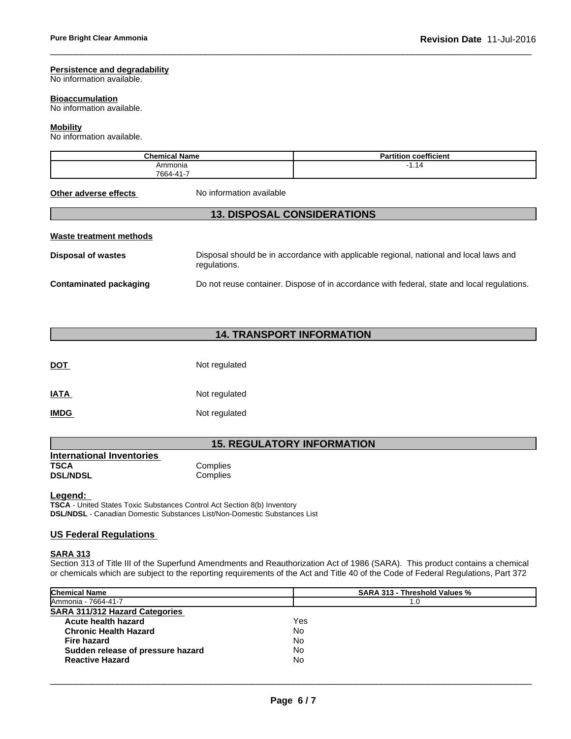## **Persistence and degradability**

No information available.

## **Bioaccumulation**

No information available.

## **Mobility**

No information available.

| <b>Chemical Name</b> | $- - -$<br>.<br>coefficient<br>. artitior |
|----------------------|-------------------------------------------|
| Ammonia              | 14<br>. .                                 |
| 7664-41-             |                                           |

 $\overline{\phantom{a}}$  ,  $\overline{\phantom{a}}$  ,  $\overline{\phantom{a}}$  ,  $\overline{\phantom{a}}$  ,  $\overline{\phantom{a}}$  ,  $\overline{\phantom{a}}$  ,  $\overline{\phantom{a}}$  ,  $\overline{\phantom{a}}$  ,  $\overline{\phantom{a}}$  ,  $\overline{\phantom{a}}$  ,  $\overline{\phantom{a}}$  ,  $\overline{\phantom{a}}$  ,  $\overline{\phantom{a}}$  ,  $\overline{\phantom{a}}$  ,  $\overline{\phantom{a}}$  ,  $\overline{\phantom{a}}$ 

**Other adverse effects** No information available

## **13. DISPOSAL CONSIDERATIONS**

## **Waste treatment methods**

| <b>Disposal of wastes</b>     | Disposal should be in accordance with applicable regional, national and local laws and<br>regulations. |
|-------------------------------|--------------------------------------------------------------------------------------------------------|
| <b>Contaminated packaging</b> | Do not reuse container. Dispose of in accordance with federal, state and local regulations.            |

## **14. TRANSPORT INFORMATION**

| <b>DOT</b>  | Not regulated |
|-------------|---------------|
| <b>IATA</b> | Not regulated |
| <b>IMDG</b> | Not regulated |

## **15. REGULATORY INFORMATION**

| <b>International Inventories</b> |          |  |
|----------------------------------|----------|--|
| TSCA                             | Complies |  |
| <b>DSL/NDSL</b>                  | Complies |  |

**Legend:** 

**TSCA** - United States Toxic Substances Control Act Section 8(b) Inventory **DSL/NDSL** - Canadian Domestic Substances List/Non-Domestic Substances List

## **US Federal Regulations**

## **SARA 313**

Section 313 of Title III of the Superfund Amendments and Reauthorization Act of 1986 (SARA). This product contains a chemical or chemicals which are subject to the reporting requirements of the Act and Title 40 of the Code of Federal Regulations, Part 372

| <b>Chemical Name</b>                  | <b>SARA 313 - Threshold Values %</b> |  |
|---------------------------------------|--------------------------------------|--|
| Ammonia - 7664-41-7                   | 1.0                                  |  |
| <b>SARA 311/312 Hazard Categories</b> |                                      |  |
| Acute health hazard                   | Yes                                  |  |
| <b>Chronic Health Hazard</b>          | No                                   |  |
| Fire hazard                           | No                                   |  |
| Sudden release of pressure hazard     | No                                   |  |
| <b>Reactive Hazard</b>                | No                                   |  |